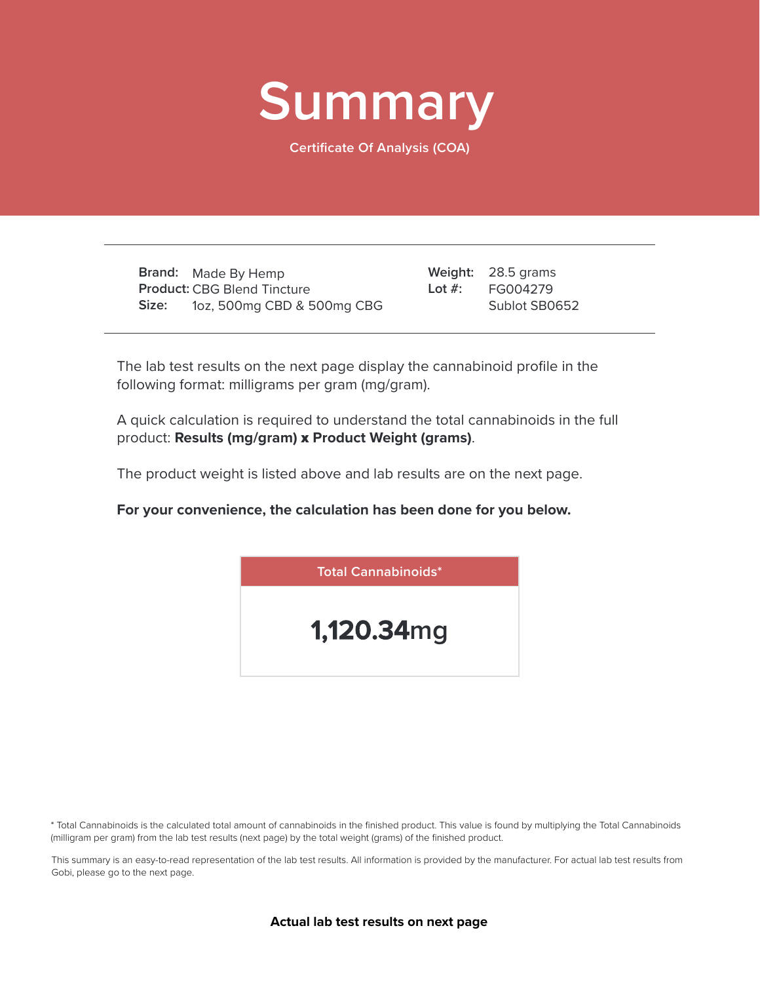

**Certificate Of Analysis (COA)**

**Brand:** Made By Hemp **Product:** CBG Blend Tincture **Size:** 1oz, 500mg CBD & 500mg CBG

28.5 grams **Weight:** FG004279 Sublot SB0652 **Lot #:**

The lab test results on the next page display the cannabinoid profile in the following format: milligrams per gram (mg/gram).

A quick calculation is required to understand the total cannabinoids in the full product: **Results (mg/gram)** x **Product Weight (grams)**.

The product weight is listed above and lab results are on the next page.

**For your convenience, the calculation has been done for you below.**



\* Total Cannabinoids is the calculated total amount of cannabinoids in the finished product. This value is found by multiplying the Total Cannabinoids (milligram per gram) from the lab test results (next page) by the total weight (grams) of the finished product.

This summary is an easy-to-read representation of the lab test results. All information is provided by the manufacturer. For actual lab test results from Gobi, please go to the next page.